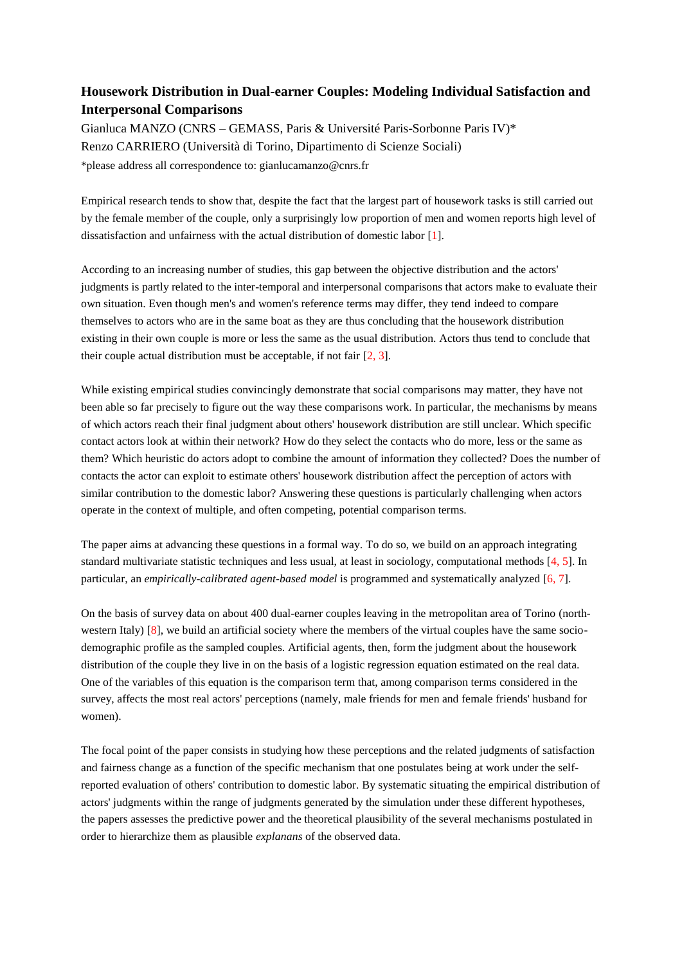## **Housework Distribution in Dual-earner Couples: Modeling Individual Satisfaction and Interpersonal Comparisons**

Gianluca MANZO (CNRS – GEMASS, Paris & Université Paris-Sorbonne Paris IV)\* Renzo CARRIERO (Università di Torino, Dipartimento di Scienze Sociali) \*please address all correspondence to: gianlucamanzo@cnrs.fr

Empirical research tends to show that, despite the fact that the largest part of housework tasks is still carried out by the female member of the couple, only a surprisingly low proportion of men and women reports high level of dissatisfaction and unfairness with the actual distribution of domestic labor [1].

According to an increasing number of studies, this gap between the objective distribution and the actors' judgments is partly related to the inter-temporal and interpersonal comparisons that actors make to evaluate their own situation. Even though men's and women's reference terms may differ, they tend indeed to compare themselves to actors who are in the same boat as they are thus concluding that the housework distribution existing in their own couple is more or less the same as the usual distribution. Actors thus tend to conclude that their couple actual distribution must be acceptable, if not fair [2, 3].

While existing empirical studies convincingly demonstrate that social comparisons may matter, they have not been able so far precisely to figure out the way these comparisons work. In particular, the mechanisms by means of which actors reach their final judgment about others' housework distribution are still unclear. Which specific contact actors look at within their network? How do they select the contacts who do more, less or the same as them? Which heuristic do actors adopt to combine the amount of information they collected? Does the number of contacts the actor can exploit to estimate others' housework distribution affect the perception of actors with similar contribution to the domestic labor? Answering these questions is particularly challenging when actors operate in the context of multiple, and often competing, potential comparison terms.

The paper aims at advancing these questions in a formal way. To do so, we build on an approach integrating standard multivariate statistic techniques and less usual, at least in sociology, computational methods [4, 5]. In particular, an *empirically-calibrated agent-based model* is programmed and systematically analyzed [6, 7].

On the basis of survey data on about 400 dual-earner couples leaving in the metropolitan area of Torino (northwestern Italy) [8], we build an artificial society where the members of the virtual couples have the same sociodemographic profile as the sampled couples. Artificial agents, then, form the judgment about the housework distribution of the couple they live in on the basis of a logistic regression equation estimated on the real data. One of the variables of this equation is the comparison term that, among comparison terms considered in the survey, affects the most real actors' perceptions (namely, male friends for men and female friends' husband for women).

The focal point of the paper consists in studying how these perceptions and the related judgments of satisfaction and fairness change as a function of the specific mechanism that one postulates being at work under the selfreported evaluation of others' contribution to domestic labor. By systematic situating the empirical distribution of actors' judgments within the range of judgments generated by the simulation under these different hypotheses, the papers assesses the predictive power and the theoretical plausibility of the several mechanisms postulated in order to hierarchize them as plausible *explanans* of the observed data.